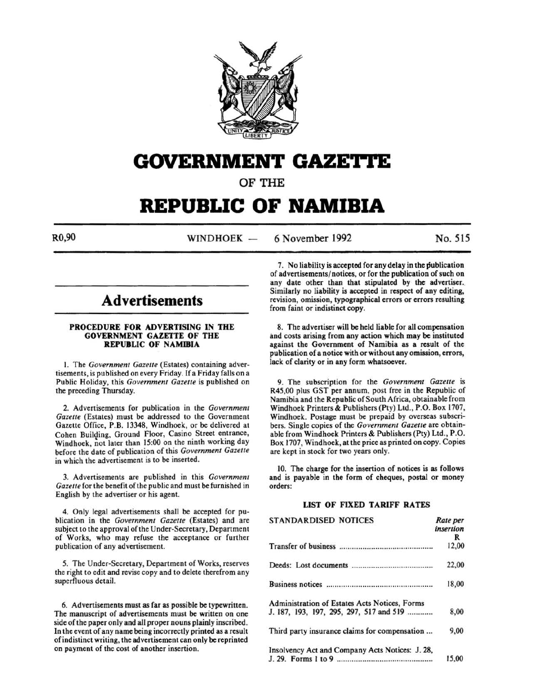

# GOVERNMENT GAZETTE

OF THE

# **REPUBLIC OF NAMIBIA**

 $R0,90$  WINDHOEK -6 November 1992 No. 515

# **Advertisements**

### PROCEDURE FOR ADVERTISING IN THE GOVERNMENT GAZETTE OF THE REPUBLIC OF NAMIBIA

I. The *Government Gazette* (Estates) containing advertisements, is published on every Friday. If a Friday falls on a Public Holiday, this *Government Gazette* is published on the preceding Thursday.

2. Advertisements for publication in the *Government Gazette* (Estates) must be addressed to the Government Gazette Office, P.B. 13348, Windhoek, or be delivered at Cohen Building, Ground Floor, Casino Street entrance, Windhoek, not later than 15:00 on the ninth working day before the date of publication of this *Government Gazette*  in which the advertisement is to be inserted.

3. Advertisements are published in this *Government Gazette* for the benefit of the public and must be furnished in English by the advertiser or his agent.

4. Only legal advertisements shall be accepted for publication in the *Government Gazette* (Estates) and are subject to the approval of the Under-Secretary, Department of Works, who may refuse the acceptance or further publication of any advertisement.

5. The Under-Secretary, Department of Works, reserves the right to edit and revise copy and to delete therefrom any superfluous detail.

6. Advertisements must as far as possible be typewritten. The manuscript of advertisements must be written on one side of the paper only and all proper nouns plainly inscribed. In the event of any name being incorrectly printed as a result of indistinct writing, the advertisement can only be reprinted on payment of the cost of another insertion.

7. No liability is accepted for any delay in the publication of advertisements/notices, or for the publication of such on any date other than that stipulated by the advertiser. Similarly no liability is accepted in respect of any editing, revision, omission, typographical errors or errors resulting from faint or indistinct copy.

8. The advertiser will be held liable for all compensation and costs arising from any action which may be instituted against the Government of Namibia as a result of the publication of a notice with or without any omission, errors, lack of clarity or in any form whatsoever.

9. The subscription for the *Government Gazette* is R45,00 plus GST per annum, post free in the Republic of Namibia and the Republic of South Africa, obtainable from Windhoek Printers & Publishers (Pty) Ltd., P.O. Box 1707, Windhoek. Postage must be prepaid by overseas subscribers. Single copies of the *Government Gazette* are obtainable from Windhoek Printers & Publishers (Pty) Ltd. , P.O. Box 1707, Windhoek, at the price as printed on copy. Copies are kept in stock for two years only.

10. The charge for the insertion of notices is as follows and is payable in the form of cheques, postal or money orders:

# UST OF FIXED TARIFF RATES

| <b>STANDARDISED NOTICES</b>                     | Rate per<br>insertion |
|-------------------------------------------------|-----------------------|
|                                                 | R                     |
|                                                 | 12,00                 |
|                                                 | 22,00                 |
|                                                 | 18,00                 |
| Administration of Estates Acts Notices, Forms   |                       |
| J. 187, 193, 197, 295, 297, 517 and 519         | 8,00                  |
| Third party insurance claims for compensation   | 9,00                  |
| Insolvency Act and Company Acts Notices: J. 28, |                       |
|                                                 | 15,00                 |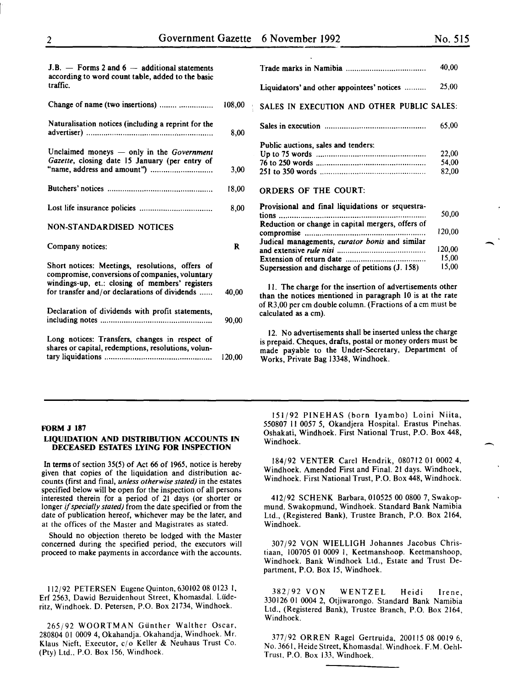-

 $\overline{\phantom{a}}$ 

| $J.B.$ — Forms 2 and 6 — additional statements<br>according to word count table, added to the basic                                                   |        | T)                    |
|-------------------------------------------------------------------------------------------------------------------------------------------------------|--------|-----------------------|
| traffic.                                                                                                                                              |        | Li                    |
| Change of name (two insertions)                                                                                                                       | 108,00 | $S_{4}$               |
| Naturalisation notices (including a reprint for the                                                                                                   | 8,00   | $S_i$                 |
| Unclaimed moneys — only in the Government<br>Gazette, closing date 15 January (per entry of                                                           |        | $P_1$<br>U<br>76      |
|                                                                                                                                                       | 3,00   | 25                    |
|                                                                                                                                                       | 18,00  | О                     |
|                                                                                                                                                       | 8,00   | P <sub>1</sub><br>tio |
| <b>NON-STANDARDISED NOTICES</b>                                                                                                                       |        | R<br>co               |
| Company notices:                                                                                                                                      | R      | Jı<br><b>ar</b><br>E: |
| Short notices: Meetings, resolutions, offers of<br>compromise, conversions of companies, voluntary<br>windings-up, et.: closing of members' registers |        | Sι                    |
| for transfer and/or declarations of dividends                                                                                                         | 40,00  | th<br>of              |
| Declaration of dividends with profit statements,                                                                                                      | 90,00  | ca                    |
| Long notices: Transfers, changes in respect of<br>shares or capital, redemptions, resolutions, volun-                                                 | 120,00 | <i>is</i><br>m<br>W   |

|                                                   | 40,00  |
|---------------------------------------------------|--------|
| Liquidators' and other appointees' notices        | 25,00  |
| SALES IN EXECUTION AND OTHER PUBLIC SALES:        |        |
|                                                   | 65,00  |
| Public auctions, sales and tenders:               |        |
|                                                   | 22,00  |
|                                                   | 54,00  |
|                                                   | 82.00  |
| <b>ORDERS OF THE COURT:</b>                       |        |
| Provisional and final liquidations or sequestra-  |        |
| tions                                             | 50,00  |
| Reduction or change in capital mergers, offers of |        |
|                                                   | 120,00 |
| Judical managements, curator bonis and similar    |        |
|                                                   | 120,00 |
|                                                   | 15,00  |
| Supersession and discharge of petitions (J. 158)  | 15,00  |

II. The charge for the insertion of advertisements other an the notices mentioned in paragraph 10 is at the rate R3,00 per cm double column. (Fractions of a cm must be deulated as a cm).

12. No advertisements shall be inserted unless the charge prepaid. Cheques, drafts, postal or money orders must be ade payable to the Under-Secretary, Department of Works, Private Bag 13348, Windhoek.

#### FORM J 187

### LIQUIDATION AND DISTRIBUTION ACCOUNTS IN DECEASED ESTATES LYING FOR INSPECTION

In terms of section 35(5) of Act 66 of 1965, notice is hereby given that copies of the liquidation and distribution accounts (first and final, *unless otherwise stated)* in the estates specified below will be open for the inspection of all persons interested therein for a period of 21 days (or shorter or longer if *specially stated)* from the date specified or from the date of publication hereof, whichever may be the later, and at the offices of the Master and Magistrates as stated.

Should no objection thereto be lodged with the Master concerned during the specified period, the executors will proceed to make payments in accordance with the accounts.

112/92 PETERSEN Eugene Quinton, 630102 08 0123 I, Erf 2563, Dawid Bezuidenhout Street, Khomasdal. Liideritz, Windhoek. D. Petersen, P.O. Box 21734, Windhoek.

265/92 WOORTMAN Gunther Walther Oscar, 280804 01 0009 4, Okahandja. Okahandja, Windhoek. Mr. Klaus Nieft, Executor,  $c/o$  Keller & Neuhaus Trust Co. (Pty) Ltd., P.O. Box 156, Windhoek.

151 j92 PINEHAS (born Iyambo) Loini Niita, 550807 II 0057 *5,* Okandjera Hospital. Erastus Pinehas. Oshakati, Windhoek. First National Trust, P.O. Box 448, Windhoek.

184/92 VENTER Carel Hendrik, 080712 01 0002 4, Windhoek. Amended First and Final. 21 days. Windhoek, Windhoek. First National Trust, P.O. Box 448, Windhoek.

412/92 SCHENK Barbara, 010525 00 0800 7, Swakopmund. Swakopmund, Windhoek. Standard Bank Namibia Ltd., (Registered Bank), Trustee Branch, P.O. Box 2164, Windhoek.

307 j92 VON WIELLIGH Johannes Jacobus Christiaan, 100705 01 0009 I, Keetmanshoop. Keetmanshoop, Windhoek. Bank Windhoek Ltd., Estate and Trust Department, P.O. Box 15, Windhoek.

382/92 VON WENTZEL Heidi Irene, 330126 01 0004 2, Otjiwarongo. Standard Bank Namibia Ltd., (Registered Bank), Trustee Branch, P.O. Box 2164, Windhoek.

377j92 ORREN Rage) Gertruida, 200115 08 0019 6, No. 3661, Heide Street, Khomasdal. Windhoek. F.M. Oehi-Trust, P.O. Box 133, Windhoek.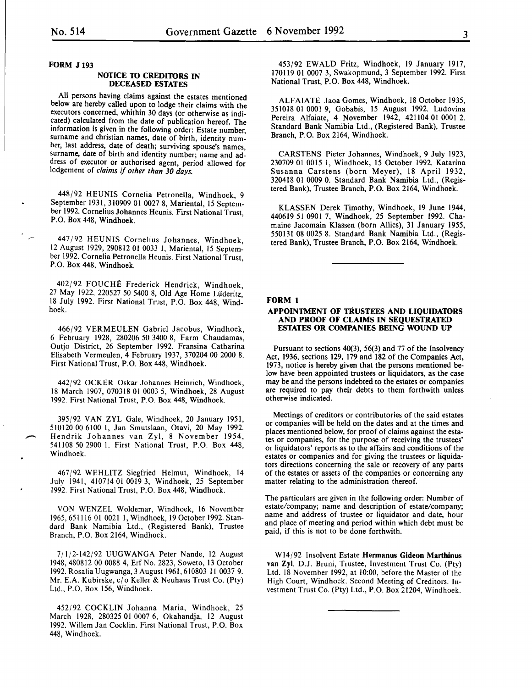FORM J 193

### **NOTICE TO CREDITORS IN** DECEASED ESTATES

All persons having claims against the estates mentioned below are hereby called upon to lodge their claims with the executors concerned, whithin 30 days (or otherwise as indicated) calculated from the date of publication hereof. The information is given in the following order: Estate number, surname and christian names, date of birth, identity number, last address, date of death; surviving spouse's names, surname, date of birth and identity number; name and address of executor or authorised agent, period allowed for lodgement of *claims* if *other than 30 days.* 

448/92 HEUNIS Cornelia Petronella, Windhoek, 9 September 1931, 310909 01 0027 8, Mariental, 15 September 1992. Cornelius Johannes Heunis. First National Trust, P.O. Box 448, Windhoek.

447/92 HEUNIS Cornelius Johannes, Windhoek, 12 August 1929, 290812 01 0033 I, Mariental, 15 September 1992. Cornelia Petronella Heunis. First National Trust, P.O. Box 448, Windhoek.

402/92 FOUCHE Frederick Hendrick, Windhoek, 27 May 1922, 220527 50 5400 8, Old Age Home Luderitz, 18 July 1992. First National Trust, P.O. Box 448, Windhoek.

466/92 VERMEULEN Gabriel Jacobus, Windhoek, 6 February 1928, 280206 50 3400 8, Farm Chaudamas, Outjo District, 26 September 1992. Fransina Catharina Elisabeth Vermeulen, 4 February 1937, 370204 00 2000 8. First National Trust, P.O. Box 448, Windhoek.

442/92 OCKER Oskar Johannes Heinrich, Windhoek, 18 March 1907, 070318 01 0003 5, Windhoek, 28 August 1992. First National Trust, P.O. Box 448, Windhoek.

395/92 VAN ZYL Gale, Windhoek, 20 January 1951, 510120 00 6100 I, Jan Smutslaan, Otavi, 20 May 1992. Hendrik Johannes van Zyl, 8 November 1954, 541108 50 2900 I. First National Trust, P.O. Box 448, Windhoek.

467/92 WEHLITZ Siegfried Helmut, Windhoek, 14 July 1941, 410714 01 0019 3, Windhoek, 25 September 1992. First National Trust, P.O. Box 448, Windhoek.

VON WENZEL Waldemar, Windhoek, 16 November 1965,651116 01 0021 I, Windhoek, 19 October 1992. Standard Bank Namibia Ltd., (Registered Bank), Trustee Branch, P.O. Box 2164, Windhoek.

7/1/2-142/92 UUGWANGA Peter Nande, 12 August 1948, 480812 00 0088 4, Erf No. 2823, Soweto, 13 October 1992. Rosalia Uugwanga, 3 August 1961,610803 II 0037 9. Mr. E.A. Kubirske, c/o Keller & Neuhaus Trust Co. (Pty) Ltd., P.O. Box 156, Windhoek.

452/92 COCKLIN Johanna Maria, Windhoek, 25 March 1928, 280325 01 0007 6, Okahandja, 12 August 1992. Willem Jan Cocklin. First National Trust, P.O. Box 448, Windhoek.

453/92 EWALD Fritz, Windhoek, 19 January 1917, 170119 01 0007 3, Swakopmund, 3 September 1992. First National Trust, P.O. Box 448, Windhoek.

ALFAIATE Jaoa Gomes, Windhoek, 18 October 1935, 351018 01 0001 9, Gobabis, 15 August 1992. Ludovina Pereira Alfaiate, 4 November 1942, 421104 01 0001 2. Standard Bank Namibia Ltd., (Registered Bank), Trustee Branch, P.O. Box 2164, Windhoek.

CARSTENS Pieter Johannes, Windhoek, 9 July 1923, 230709 01 0015 I, Windhoek, 15 October 1992. Katarina Susanna Carstens (born Meyer), 18 April 1932, 320418 01 0009 0. Standard Bank Namibia Ltd., (Registered Bank), Trustee Branch, P.O. Box 2164, Windhoek.

KLASSEN Derek Timothy, Windhoek, 19 June 1944, 440619 51 0901 7, Windhoek, 25 September 1992. Chamaine Jacomain Klassen (born Allies), 31 January 1955, 550131 08 0025 8. Standard Bank Namibia Ltd., (Registered Bank), Trustee Branch, P.O. Box 2164, Windhoek.

#### FORM 1

#### APPOINTMENT OF TRUSTEES AND LIQUIDAIDRS AND PROOF OF CLAIMS IN SEQUESTRATED ESTATES OR COMPANIES BEING WOUND UP

Pursuant to sections 40(3), 56(3) and 77 of the Insolvency Act, 1936, sections 129, 179 and 182 of the Companies Act, 1973, notice is hereby given that the persons mentioned below have been appointed trustees or liquidators, as the case may be and the persons indebted to the estates or companies are required to pay their debts to them forthwith unless otherwise indicated.

Meetings of creditors or contributories of the said estates or companies will be held on the dates and at the times and places mentioned below, for proof of claims against the estates or companies, for the purpose of receiving the trustees' or liquidators' reports as to the affairs and conditions of the estates or companies and for giving the trustees or liquidators directions concerning the sale or recovery of any parts of the estates or assets of the companies or concerning any matter relating to the administration thereof.

The particulars are given in the following order: Number of estate/company; name and description of estate/company; name and address of trustee or liquidator and date, hour and place of meeting and period within which debt must be paid, if this is not to be done forthwith.

W 14/92 Insolvent Estate Hermanus Gideon Marthinus van Zyl. D.J. Bruni, Trustee, Investment Trust Co. (Pty) Ltd. 18 November 1992, at 10:00, before the Master of the High Court, Windhoek. Second Meeting of Creditors. Investment Trust Co. (Pty) Ltd., P.O. Box 21204, Windhoek.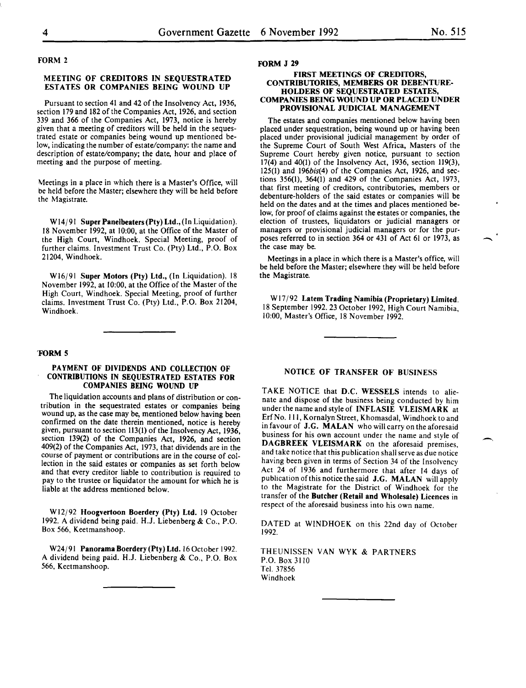$\overline{\phantom{a}}$ 

# FORM 2

### MEETING OF CREDITORS IN SEQUESTRATED ESTATES OR COMPANIES BEING WOUND UP

Pursuant to section 41 and 42 of the Insolvency Act, 1936, section 179 and 182 of the Companies Act, 1926, and section 339 and 366 of the Companies Act, 1973, notice is hereby given that a meeting of creditors will be held in the sequestrated estate or companies being wound up mentioned below, indicating the number of estate/company: the name and description of estate/company; the date, hour and place of meeting and the purpose of meeting.

Meetings in a place in which there is a Master's Office, will be held before the Master; elsewhere they will be held before the Magistrate.

W14/91 Super Panelbeaters (Pty) Ltd., (In Liquidation). 18 November 1992, at 10:00, at the Office of the Master of the High Court, Windhoek. Special Meeting, proof of further claims. Investment Trust Co. (Pty) Ltd., P.O. Box 21204, Windhoek.

Wl6/91 Super Motors (Pty) Ltd., (In Liquidation). 18 November 1992, at 10:00, at the Office of the Master of the High Court, Windhoek. Special Meeting, proof of further claims. Investment Trust Co. (Pty) Ltd., P.O. Box 21204, Windhoek.

#### 'FORM 5

#### PAYMENT OF DIVIDENDS AND COLLECTION OF CONTRIBUTIONS IN SEQUESTRATED ESTATES FOR COMPANIES BEING WOUND UP

The liquidation accounts and plans of distribution or contribution in the sequestrated estates or companies being wound up, as the case may be, mentioned below having been confirmed on the date therein mentioned, notice is hereby given, pursuant to section 113(1) of the Insolvency Act, 1936, section 139(2) of the Companies Act, 1926, and section 409(2) of the Companies Act, 1973, that dividends are in the course of payment or contributions are in the course of collection in the said estates or companies as set forth below and that every creditor liable to contribution is reauired to pay to the trustee or liquidator the amount for which he is liable at the address mentioned below.

W12j92 Hoogvertoon Boerdery (Pty) Ltd. 19 October 1992. A dividend being paid. H.J. Liebenberg & Co., P.O. Box 566, Keetmanshoop.

W24/91 Panorama Boerdery (Pty) Ltd. 16 October 1992. A dividend being paid. H.J. Liebenberg & Co., P.O. Box 566, Keetmanshoop.

#### FORM J 29

#### FIRST MEETINGS OF CREDITORS, CONTRIBUTORIES, MEMBERS OR DEBENTURE-HOLDERS OF SEQUESTRATED ESTATES, COMPANIES BEING WOUND UP OR PLACED UNDER PROVISIONAL JUDICIAL MANAGEMENT

The estates and companies mentioned below having been placed under sequestration, being wound up or having been placed under provisional judicial management by order of the Supreme Court of South West Africa, Masters of the Supreme Court hereby given notice, pursuant to section 17(4) and 40(1) of the Insolvency Act, 1936, section 119(3), 125(1) and 196bis(4) of the Companies Act, 1926, and sections 356(1), 364(1) and 429 of the Companies Act, 1973, that first meeting of creditors, contributories, members or debenture-holders of the said estates or companies will be held on the dates and at the times and places mentioned below, for proof of claims against the estates or companies, the election of trustees, liquidators or judicial managers or managers or provisional judicial managers or for the purposes referred to in section 364 or 431 of Act 61 or 1973, as the case may be.

Meetings in a place in which there is a Master's office, will be held before the Master; elsewhere they will be held before the Magistrate.

Wl7 /92 Latem Trading Namibia (Proprietary) Limited. 18 September 1992.23 October 1992, High Court Namibia, 10:00, Master's Office, 18 November 1992.

# NOTICE OF TRANSFER OF BUSINESS

TAKE NOTICE that D.C. WESSELS intends to alienate and dispose of the business being conducted by him under the name and style of INFLASIE VLEISMARK at ErfNo. Ill, Kornalyn Street, Khomasdal, Windhoek to and in favour of J.G. MALAN who will carry on the aforesaid business for his own account under the name and style of DAGBREEK VLEISMARK on the aforesaid premises, and take notice that this publication shall serve as due notice having been given in terms of Section 34 of the Insolvency Act 24 of 1936 and furthermore that after 14 days of publication of this notice the said J.G. MALAN will apply to the Magistrate for the District of Windhoek for the transfer of the Butcher (Retail and Wholesale) Licences in respect of the aforesaid business into his own name.

DATED at WINDHOEK on this 22nd day of October 1992.

THEUNISSEN VAN WYK & PARTNERS P.O. Box 3110 Tel. 37856 Windhoek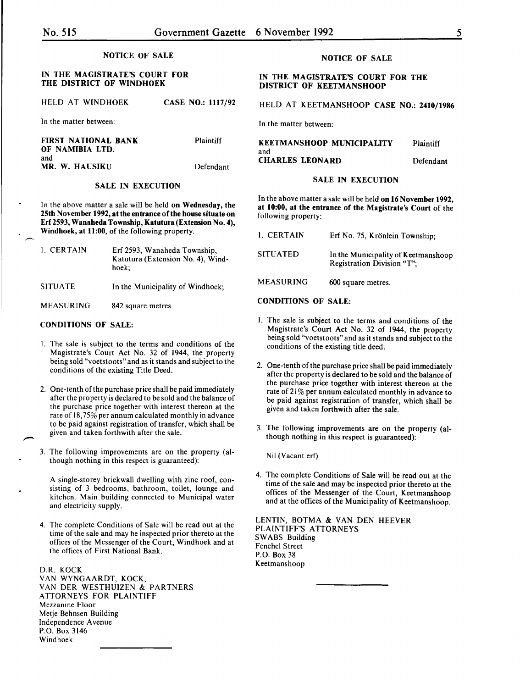#### NOTICE OF SALE

# IN THE MAGISTRATE'S COURT FOR THE DISTRICT OF WINDHOEK

HELD AT WINDHOEK CASE NO.: 1117/92

In the matter between:

FIRST NATIONAL BANK OF NAMIBIA LTD. and MR. W. HAUSIKU Plaintiff Defendant

#### SALE IN EXECUTION

In the above matter a sale will be held on Wednesday, the 25th November 1992, at the entrance of the house situate on Erf2593, Wanaheda Township, Katutura (Extension No.4), Windhoek, at 11:00, of the following property.

| 1. CERTAIN       | Erf 2593, Wanaheda Township,<br>Katutura (Extension No. 4), Wind-<br>hoek: |
|------------------|----------------------------------------------------------------------------|
| <b>SITUATE</b>   | In the Municipality of Windhoek;                                           |
| <b>MEASURING</b> | 842 square metres.                                                         |

#### CONDITIONS OF SALE:

 $\overline{\phantom{a}}$ 

- I. The sale is subject to the terms and conditions of the Magistrate's Court Act No. 32 of 1944, the property being sold "voetstoots" and as it stands and subject to the conditions of the existing Title Deed.
- 2. One-tenth of the purchase price shall be paid immediately after the property is declared to be sold and the balance of the purchase price together with interest thereon at the rate of 18,75% per annum calculated monthly in advance to be paid against registration of transfer, which shall be given and taken forthwith after the sale.
- 3. The following improvements are on the property (although nothing in this respect is guaranteed):

A single-storey brickwall dwelling with zinc roof, consisting of 3 bedrooms, bathroom, toilet, lounge and kitchen. Main building connected to Municipal water and electricity supply.

4. The complete Conditions of Sale will be read out at the time of the sale and may be inspected prior thereto at the offices of the Messenger of the Court, Windhoek and at the offices of First National Bank.

D.R. KOCK VAN WYNGAARDT, KOCK, VAN DER WESTHUIZEN & PARTNERS ATTORNEYS FOR PLAINTIFF Mezzanine Floor Metje Behnsen Building Independence Avenue P.O. Box 3146 Windhoek

# NOTICE OF SALE

#### IN THE MAGISTRATE'S COURT FOR THE DISTRICT OF KEETMANSHOOP

# HELD AT KEETMANSHOOP CASE NO.: 2410/1986

In the matter between:

| <b>KEETMANSHOOP MUNICIPALITY</b> | Plaintiff |
|----------------------------------|-----------|
| and                              |           |
| <b>CHARLES LEONARD</b>           | Defendant |

#### SALE IN EXECUTION

In the above matter a sale will be held on 16 November 1992, at 10:00, at the entrance of the Magistrate's Court of the following property:

| 1. CERTAIN       | Erf No. 75, Krönlein Township;                                    |
|------------------|-------------------------------------------------------------------|
| <b>SITUATED</b>  | In the Municipality of Keetmanshoop<br>Registration Division "T"; |
| <b>MEASURING</b> | 600 square metres.                                                |

### CONDITIONS OF SALE:

- I. The sale is subject to the terms and conditions of the Magistrate's Court Act No. 32 of 1944, the property being sold "voetstoots" and as it stands and subject to the conditions of the existing title deed.
- 2. One-tenth of the purchase price shall be paid immediately after the property is declared to be sold and the balance of the purchase price together with interest thereon at the rate of 21% per annum calculated monthly in advance to be paid against registration of transfer, which shall be given and taken forthwith after the sale.
- 3. The following improvements are on the property (although nothing in this respect is guaranteed):

Nil (Vacant erf)

4. The complete Conditions of Sale will be read out at the time of the sale and may be inspected prior thereto at the offices of the Messenger of the Court, Keetmanshoop and at the offices of the Municipality of Keetmanshoop.

LENTIN, BOTMA & VAN DEN HEEVER PLAINTIFF'S ATTORNEYS SWABS Building Fenchel Street P.O. Box 38 Keetmanshoop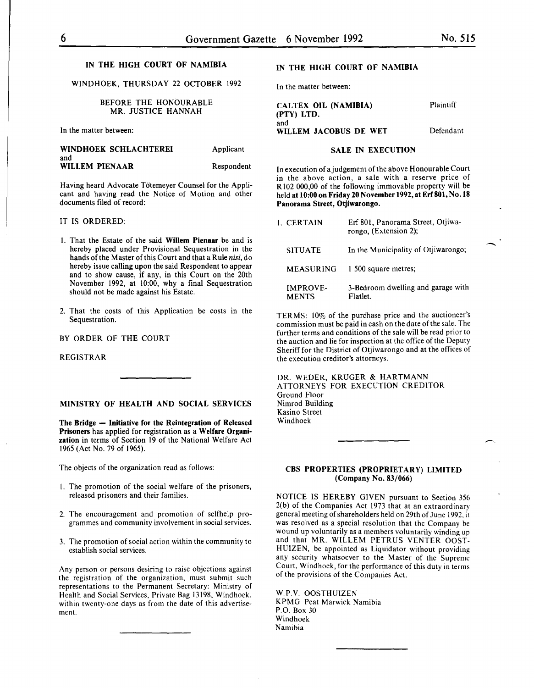-

# IN THE HIGH COURT OF NAMIBIA

# WINDHOEK, THURSDAY 22 OCTOBER 1992

BEFORE THE HONOURABLE MR. JUSTICE HANNAH

In the matter between:

#### WINDHOEK SCHLACHTEREI and WILLEM PIENAAR Applicant Respondent

Having heard Advocate Tötemeyer Counsel for the Applicant and having read the Notice of Motion and other documents filed of record:

# IT IS ORDERED:

- I. That the Estate of the said Willem Pienaar be and is hereby placed under Provisional Sequestration in the hands of the Master of this Court and that a Rule *nisi,* do hereby issue calling upon the said Respondent to appear and to show cause, if any, in this Court on the 20th November 1992, at 10:00, why a final Sequestration should not be made against his Estate.
- 2. That the costs of this Application be costs in the Sequestration.

BY ORDER OF THE COURT

REGISTRAR

MINISTRY OF HEALTH AND SOCIAL SERVICES

The Bridge - Initiative for the Reintegration of Released Prisoners has applied for registration as a Welfare Organization in terms of Section 19 of the National Welfare Act 1965 (Act No. 79 of 1965).

The objects of the organization read as follows:

- I. The promotion of the social welfare of the prisoners, released prisoners and their families.
- 2. The encouragement and promotion of selfhelp programmes and community involvement in social services.
- 3. The promotion of social action within the community to establish social services.

Any person or persons desiring to raise objections against the registration of the organization, must submit such representations to the Permanent Secretary: Ministry of Health and Social Services, Private Bag 13198, Windhoek, within twenty-one days as from the date of this advertisement.

# IN THE HIGH COURT OF NAMIBIA

In the matter between:

CALTEX OIL (NAMIBIA) (PTY) LTD. and WILLEM JACOBUS DE WET Plaintiff Defendant

#### SALE IN EXECUTION

In execution of a judgement of the above Honourable Court in the above action, a sale with a reserve price of R 102 000,00 of the following immovable property will be held at 10:00 on Friday 20 November 1992, at Erf 801, No. 18 Panorama Street, Otjiwarongo.

| 1. CERTAIN                      | Erf 801, Panorama Street, Otjiwa-<br>rongo, (Extension 2); |
|---------------------------------|------------------------------------------------------------|
| <b>SITUATE</b>                  | In the Municipality of Otjiwarongo;                        |
| MEASURING                       | 1 500 square metres;                                       |
| <b>IMPROVE-</b><br><b>MENTS</b> | 3-Bedroom dwelling and garage with<br>Flatlet.             |

TERMS: 10% of the purchase price and the auctioneer's commission must be paid in cash on the date oft he sale. The further terms and conditions of the sale will be read prior to the auction and lie for inspection at the office of the Deputy Sheriff for the District of Otjiwarongo and at the offices of the execution creditor's attorneys.

DR. WEDER, KRUGER & HARTMANN ATTORNEYS FOR EXECUTION CREDITOR Ground Floor Nimrod Building Kasino Street Windhoek

# CBS PROPERTIES (PROPRIETARY) LIMITED (Company No. 83/066)

NOTICE IS HEREBY GIVEN pursuant to Section 356 2(b) of the Companies Act 1973 that at an extraordinary general meeting of shareholders held on 29th of June 1992. it was resolved as a special resolution that the Company be wound up voluntarily as a members voluntarily winding up and that MR. WILLEM PETRUS VENTER OOST-HUIZEN, be appointed as Liquidator without providing any security whatsoever to the Master of the Supreme Court, Windhoek, for the performance of this duty in terms of the provisions of the Companies Act.

W.P.V. OOSTHUIZEN KPMG Peat Marwick Namibia P.O. Box 30 Windhoek Namibia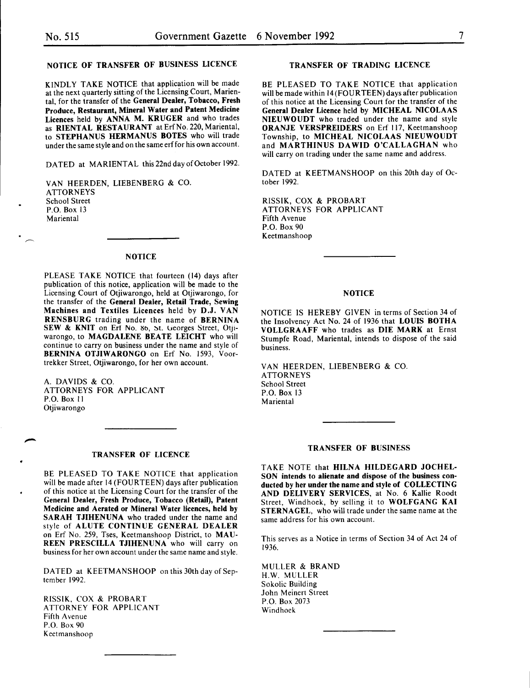# NOTICE OF TRANSFER OF BUSINESS LICENCE

KINDLY TAKE NOTICE that application will be made at the next quarterly sitting of the Licensing Court, Mariental, for the transfer of the General Dealer, Tobacco, Fresh Produce, Restaurant, Mineral Water and Patent Medicine Licences held by ANNA M. KRUGER and who trades as RIENTAL RESTAURANT at Erf No. 220, Mariental, to STEPHANUS HERMANUS BOTES who will trade under the same style and on the same erffor his own account.

DATED at MARIENTAL this 22nd day of October 1992.

VAN HEERDEN, LIESENBERG & CO. **ATTORNEYS** School Street P.O. Box 13 **Mariental** 

#### NOTICE

PLEASE TAKE NOTICE that fourteen (14) days after publication of this notice, application will be made to the Licensing Court of Otjiwarongo, held at Otjiwarongo, for the transfer of the General Dealer, Retail Trade, Sewing Machines and Textiles Licences held by D.J. VAN RENSBURG trading under the name of BERNINA SEW & KNIT on Ert No. 80, St. Georges Street, Otjiwarongo, to MAGDALENE BEATE LEICHT who will continue to carry on business under the name and style of BERNINA OTJIWARONGO on Erf No. 1593, Voortrekker Street, Otjiwarongo, for her own account.

A. DAVIDS & CO. ATTORNEYS FOR APPLICANT P.O. Box II Otjiwarongo

#### TRANSFER OF LICENCE

BE PLEASED TO TAKE NOTICE that application will be made after 14 (FOURTEEN) days after publication of this notice at the Licensing Court for the transfer of the General Dealer, Fresh Produce, Tobacco (Retail), Patent Medicine and Aerated or Mineral Water licences, held by SARAH TJIHENUNA who traded under the name and style of ALUTE CONTINUE GENERAL DEALER on Erf No. 259, Tses, Keetmanshoop District, to MAU-REEN PRESCILLA TJIHENUNA who will carry on business for her own account under the same name and style.

DATED at KEETMANSHOOP on this 30th day of September 1992.

RlSSlK, COX & PROBART ATTORNEY FOR APPLICANT Fifth Avenue P.O. Box 90 Keetmanshoop

### TRANSFER OF TRADING LICENCE

BE PLEASED TO TAKE NOTICE that application will be made within 14(FOURTEEN) days after publication of this notice at the Licensing Court for the transfer of the General Dealer Licence held by MICHEAL NICOLAAS NIEUWOUDT who traded under the name and style ORANJE VERSPREIDERS on Erf 117, Keetmanshoop Township, to MICHEAL NICOLAAS NIEUWOUDT and MARTHINUS DAWID O'CALLAGHAN who will carry on trading under the same name and address.

DATED at KEETMANSHOOP on this 20th day of October 1992.

RISSIK, COX & PROBART ATTORNEYS FOR APPLICANT Fifth Avenue P.O. Box 90 Keetmanshoop

#### **NOTICE**

NOTICE IS HEREBY GIVEN in terms of Section 34 of the Insolvency Act No. 24 of 1936 that LOUIS BOTHA VOLLGRAAFF who trades as DIE MARK at Ernst Stumpfe Road, Mariental, intends to dispose of the said business.

VAN HEERDEN, LIEBENBERG & CO. **ATTORNEYS** School Street P.O. Box 13 **Mariental** 

# TRANSFER OF BUSINESS

TAKE NOTE that HILNA HILDEGARD JOCHEL-SON intends to alienate and dispose of the business conducted by her under the name and style of COLLECTING AND DELIVERY SERVICES, at No. 6 Kallie Roodt Street, Windhoek, by selling it to WOLFGANG KAI STERNAGEL, who will trade under the same name at the same address for his own account.

This serves as a Notice in terms of Section 34 of Act 24 of 1936.

MULLER & BRAND H.W. MULLER Sokolic Building John Meinert Street P.O. Box 2073 Windhoek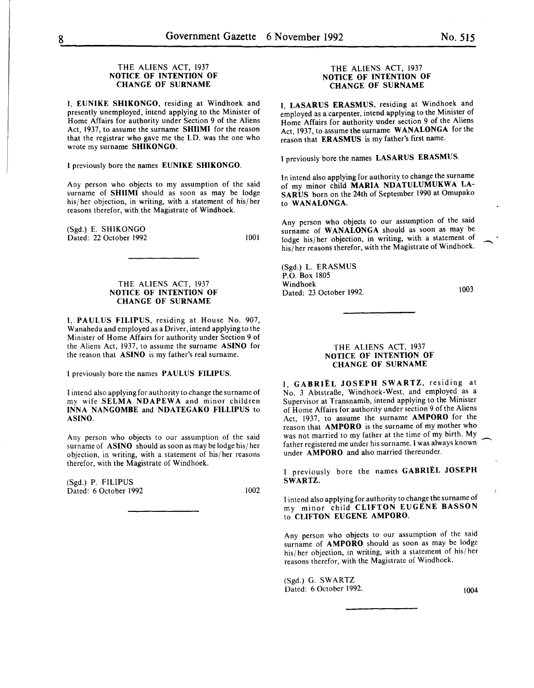#### THE ALIENS ACT, 1937 NOTICE OF INTENTION OF CHANGE OF SURNAME

I, EUNIKE SHIKONGO, residing at Windhoek and presently unemployed, intend applying to the Minister of Home Affairs for authority under Section 9 of the Aliens Act, 1937, to assume the surname SHIIMI for the reason that the registrar who gave me the I. D. was the one who wrote my surname SHIKONGO.

I previously bore the names EUNIKE SHIKONGO.

Any person who objects to my assumption of the said surname of **SHIIMI** should as soon as may be lodge his/her objection, in writing, with a statement of his/her reasons therefor, with the Magistrate of Windhoek.

(Sgd.) E. SHIKONGO Dated: 22 October 1992

1001

### THE ALIENS ACT, 1937 NOTICE OF INTENTION OF CHANGE OF SURNAME

I, PAULUS FILIPUS, residing at House No. 907, Wanaheda and employed as a Driver, intend applying to the Minister of Home Affairs for authority under Section 9 of the Aliens Act, 1937, to assume the surname ASINO for the reason that ASINO is my father's real surname.

I previously bore the names PAULUS FILIPUS.

I intend also applying for authority to change the surname of my wife SELMA NDAPEWA and minor children INNA NANGOMBE and NDATEGAKO FILLIPUS to ASINO.

Any person who objects to our assumption of the said surname of ASINO should as soon as may be lodge his/ her objection, in writing, with a statement of his/her reasons therefor, with the Magistrate of Windhoek.

(Sgd.) P. FILIPUS Dated: 6 October 1992 1002

#### THE ALIENS ACT, 1937 NOTICE OF INTENTION OF CHANGE OF SURNAME

I, LASARUS ERASMUS, residing at Windhoek and employed as a carpenter, intend applying to the Minister of Home Affairs for authority under section 9 of the Aliens Act, 1937, to assume the surname WANALONGA for the reason that ERASMUS is my father's first name.

I previously bore the names LASARUS ERASMUS.

In intend also applying for authority to change the surname of my minor child MARIA NDATULUMUKWA LA-SARUS born on the 24th of September 1990 at Omupako to WANALONGA.

Any person who objects to our assumption of the said surname of WANALONGA should as soon as may be lodge his/ her objection, in writing, with a statement of his/her reasons therefor, with the Magistrate of Windhoek.

(Sgd.) L. ERASMUS P.O. Box 1805 Windhoek Dated: 23 October 1992.

1003

 $\overline{\phantom{a}}$ 

#### THE ALIENS ACT, 1937 NOTICE OF INTENTION OF CHANGE OF SURNAME

I, GABRIËL JOSEPH SWARTZ, residing at No. 3 Abtstraße, Windhoek-West, and employed as a Supervisor at Transnamib, intend applying to the Minister of Home Affairs for authority under section 9 of the Aliens Act, 1937, to assume the surname AMPORO for the reason that AMPORO is the surname of my mother who was not married to my father at the time of my birth. My father registered me under his surname. I was always known under AMPORO and also married thereunder.

I previously bore the names GABRI£L JOSEPH SWARTZ.

I intend also applying for authority to change the surname of my minor child CLIFTON EUGENE HASSON to CLIFTON EUGENE AMPORO.

Any person who objects to our assumption of the said surname of AMPORO should as soon as may be lodge his/ her objection, in writing, with a statement of his/ her reasons therefor, with the Magistrate of Windhoek.

(Sgd.) G. SWARTZ Dated: 6 October 1992. 1004